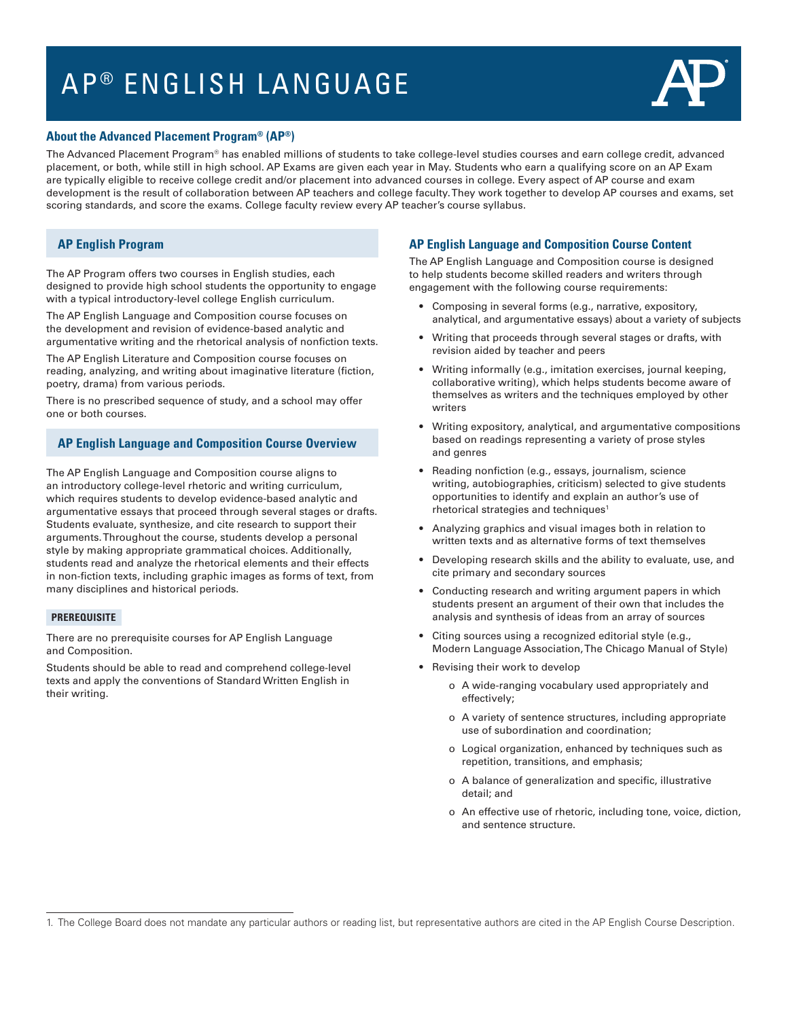# AP<sup>®</sup> ENGLISH LANGUAGE



#### **About the Advanced Placement Program® (AP®)**

The Advanced Placement Program® has enabled millions of students to take college-level studies courses and earn college credit, advanced placement, or both, while still in high school. AP Exams are given each year in May. Students who earn a qualifying score on an AP Exam are typically eligible to receive college credit and/or placement into advanced courses in college. Every aspect of AP course and exam development is the result of collaboration between AP teachers and college faculty. They work together to develop AP courses and exams, set scoring standards, and score the exams. College faculty review every AP teacher's course syllabus.

## **AP English Program**

The AP Program offers two courses in English studies, each designed to provide high school students the opportunity to engage with a typical introductory-level college English curriculum.

The AP English Language and Composition course focuses on the development and revision of evidence-based analytic and argumentative writing and the rhetorical analysis of nonfiction texts.

The AP English Literature and Composition course focuses on reading, analyzing, and writing about imaginative literature (fiction, poetry, drama) from various periods.

There is no prescribed sequence of study, and a school may offer one or both courses.

### **AP English Language and Composition Course Overview**

The AP English Language and Composition course aligns to an introductory college-level rhetoric and writing curriculum, which requires students to develop evidence-based analytic and argumentative essays that proceed through several stages or drafts. Students evaluate, synthesize, and cite research to support their arguments. Throughout the course, students develop a personal style by making appropriate grammatical choices. Additionally, students read and analyze the rhetorical elements and their effects in non-fiction texts, including graphic images as forms of text, from many disciplines and historical periods.

#### **PREREQUISITE**

There are no prerequisite courses for AP English Language and Composition.

Students should be able to read and comprehend college-level texts and apply the conventions of Standard Written English in their writing.

#### **AP English Language and Composition Course Content**

The AP English Language and Composition course is designed to help students become skilled readers and writers through engagement with the following course requirements:

- Composing in several forms (e.g., narrative, expository, analytical, and argumentative essays) about a variety of subjects
- Writing that proceeds through several stages or drafts, with revision aided by teacher and peers
- Writing informally (e.g., imitation exercises, journal keeping, collaborative writing), which helps students become aware of themselves as writers and the techniques employed by other writers
- Writing expository, analytical, and argumentative compositions based on readings representing a variety of prose styles and genres
- Reading nonfiction (e.g., essays, journalism, science writing, autobiographies, criticism) selected to give students opportunities to identify and explain an author's use of rhetorical strategies and techniques<sup>1</sup>
- Analyzing graphics and visual images both in relation to written texts and as alternative forms of text themselves
- Developing research skills and the ability to evaluate, use, and cite primary and secondary sources
- Conducting research and writing argument papers in which students present an argument of their own that includes the analysis and synthesis of ideas from an array of sources
- Citing sources using a recognized editorial style (e.g., Modern Language Association, The Chicago Manual of Style)
- Revising their work to develop
	- o A wide-ranging vocabulary used appropriately and effectively;
	- o A variety of sentence structures, including appropriate use of subordination and coordination;
	- o Logical organization, enhanced by techniques such as repetition, transitions, and emphasis;
	- o A balance of generalization and specific, illustrative detail; and
	- o An effective use of rhetoric, including tone, voice, diction, and sentence structure.

<sup>1.</sup> The College Board does not mandate any particular authors or reading list, but representative authors are cited in the AP English Course Description.